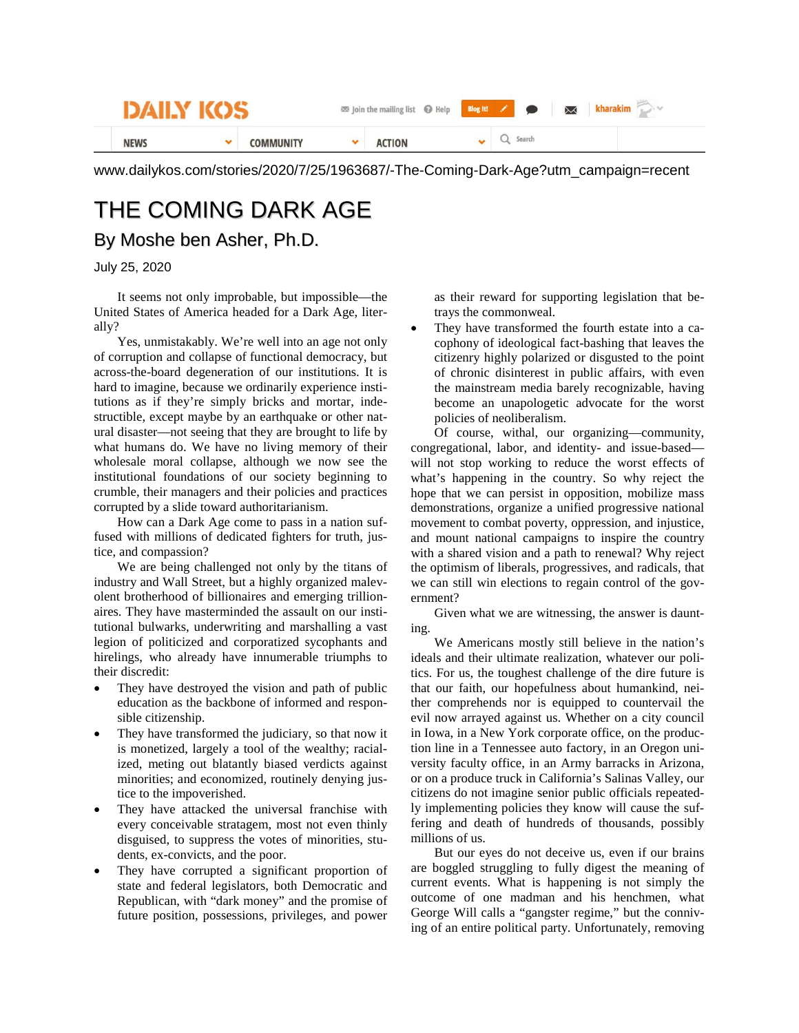| <b>DATIN</b> |  |           | Join the mailing list @ Help Blog It! |  | $\bowtie$<br>$\bullet$ |        |  |  |  |  |
|--------------|--|-----------|---------------------------------------|--|------------------------|--------|--|--|--|--|
| <b>NEWS</b>  |  | COMMUNITY | <b>ACTION</b>                         |  |                        | Search |  |  |  |  |

www.dailykos.com/stories/2020/7/25/1963687/-The-Coming-Dark-Age?utm\_campaign=recent

## THE COMING DARK AGE By Moshe ben Asher, Ph.D.

## July 25, 2020

It seems not only improbable, but impossible—the United States of America headed for a Dark Age, literally?

Yes, unmistakably. We're well into an age not only of corruption and collapse of functional democracy, but across-the-board degeneration of our institutions. It is hard to imagine, because we ordinarily experience institutions as if they're simply bricks and mortar, indestructible, except maybe by an earthquake or other natural disaster—not seeing that they are brought to life by what humans do. We have no living memory of their wholesale moral collapse, although we now see the institutional foundations of our society beginning to crumble, their managers and their policies and practices corrupted by a slide toward authoritarianism.

How can a Dark Age come to pass in a nation suffused with millions of dedicated fighters for truth, justice, and compassion?

We are being challenged not only by the titans of industry and Wall Street, but a highly organized malevolent brotherhood of billionaires and emerging trillionaires. They have masterminded the assault on our institutional bulwarks, underwriting and marshalling a vast legion of politicized and corporatized sycophants and hirelings, who already have innumerable triumphs to their discredit:

- They have destroyed the vision and path of public education as the backbone of informed and responsible citizenship.
- They have transformed the judiciary, so that now it is monetized, largely a tool of the wealthy; racialized, meting out blatantly biased verdicts against minorities; and economized, routinely denying justice to the impoverished.
- They have attacked the universal franchise with every conceivable stratagem, most not even thinly disguised, to suppress the votes of minorities, students, ex-convicts, and the poor.
- They have corrupted a significant proportion of state and federal legislators, both Democratic and Republican, with "dark money" and the promise of future position, possessions, privileges, and power

as their reward for supporting legislation that betrays the commonweal.

They have transformed the fourth estate into a cacophony of ideological fact-bashing that leaves the citizenry highly polarized or disgusted to the point of chronic disinterest in public affairs, with even the mainstream media barely recognizable, having become an unapologetic advocate for the worst policies of neoliberalism.

Of course, withal, our organizing—community, congregational, labor, and identity- and issue-based will not stop working to reduce the worst effects of what's happening in the country. So why reject the hope that we can persist in opposition, mobilize mass demonstrations, organize a unified progressive national movement to combat poverty, oppression, and injustice, and mount national campaigns to inspire the country with a shared vision and a path to renewal? Why reject the optimism of liberals, progressives, and radicals, that we can still win elections to regain control of the government?

Given what we are witnessing, the answer is daunting.

We Americans mostly still believe in the nation's ideals and their ultimate realization, whatever our politics. For us, the toughest challenge of the dire future is that our faith, our hopefulness about humankind, neither comprehends nor is equipped to countervail the evil now arrayed against us. Whether on a city council in Iowa, in a New York corporate office, on the production line in a Tennessee auto factory, in an Oregon university faculty office, in an Army barracks in Arizona, or on a produce truck in California's Salinas Valley, our citizens do not imagine senior public officials repeatedly implementing policies they know will cause the suffering and death of hundreds of thousands, possibly millions of us.

But our eyes do not deceive us, even if our brains are boggled struggling to fully digest the meaning of current events. What is happening is not simply the outcome of one madman and his henchmen, what George Will calls a "gangster regime," but the conniving of an entire political party. Unfortunately, removing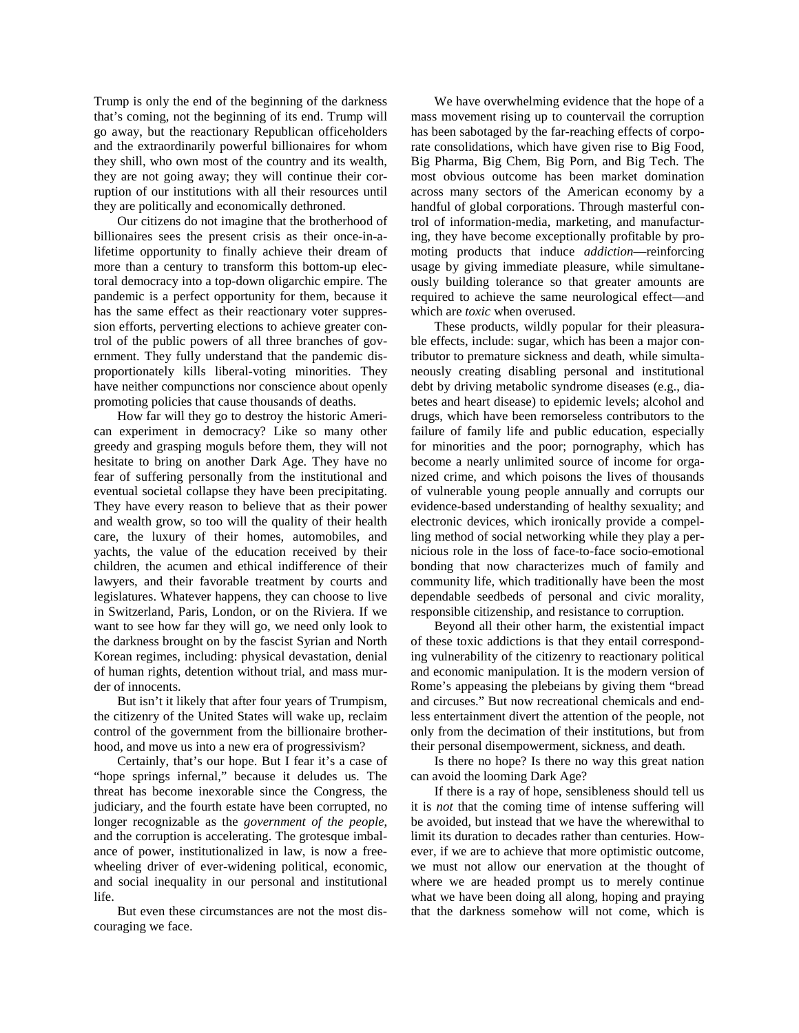Trump is only the end of the beginning of the darkness that's coming, not the beginning of its end. Trump will go away, but the reactionary Republican officeholders and the extraordinarily powerful billionaires for whom they shill, who own most of the country and its wealth, they are not going away; they will continue their corruption of our institutions with all their resources until they are politically and economically dethroned.

Our citizens do not imagine that the brotherhood of billionaires sees the present crisis as their once-in-alifetime opportunity to finally achieve their dream of more than a century to transform this bottom-up electoral democracy into a top-down oligarchic empire. The pandemic is a perfect opportunity for them, because it has the same effect as their reactionary voter suppression efforts, perverting elections to achieve greater control of the public powers of all three branches of government. They fully understand that the pandemic disproportionately kills liberal-voting minorities. They have neither compunctions nor conscience about openly promoting policies that cause thousands of deaths.

How far will they go to destroy the historic American experiment in democracy? Like so many other greedy and grasping moguls before them, they will not hesitate to bring on another Dark Age. They have no fear of suffering personally from the institutional and eventual societal collapse they have been precipitating. They have every reason to believe that as their power and wealth grow, so too will the quality of their health care, the luxury of their homes, automobiles, and yachts, the value of the education received by their children, the acumen and ethical indifference of their lawyers, and their favorable treatment by courts and legislatures. Whatever happens, they can choose to live in Switzerland, Paris, London, or on the Riviera. If we want to see how far they will go, we need only look to the darkness brought on by the fascist Syrian and North Korean regimes, including: physical devastation, denial of human rights, detention without trial, and mass murder of innocents.

But isn't it likely that after four years of Trumpism, the citizenry of the United States will wake up, reclaim control of the government from the billionaire brotherhood, and move us into a new era of progressivism?

Certainly, that's our hope. But I fear it's a case of "hope springs infernal," because it deludes us. The threat has become inexorable since the Congress, the judiciary, and the fourth estate have been corrupted, no longer recognizable as the *government of the people*, and the corruption is accelerating. The grotesque imbalance of power, institutionalized in law, is now a freewheeling driver of ever-widening political, economic, and social inequality in our personal and institutional life.

But even these circumstances are not the most discouraging we face.

We have overwhelming evidence that the hope of a mass movement rising up to countervail the corruption has been sabotaged by the far-reaching effects of corporate consolidations, which have given rise to Big Food, Big Pharma, Big Chem, Big Porn, and Big Tech. The most obvious outcome has been market domination across many sectors of the American economy by a handful of global corporations. Through masterful control of information-media, marketing, and manufacturing, they have become exceptionally profitable by promoting products that induce *addiction*—reinforcing usage by giving immediate pleasure, while simultaneously building tolerance so that greater amounts are required to achieve the same neurological effect—and which are *toxic* when overused.

These products, wildly popular for their pleasurable effects, include: sugar, which has been a major contributor to premature sickness and death, while simultaneously creating disabling personal and institutional debt by driving metabolic syndrome diseases (e.g., diabetes and heart disease) to epidemic levels; alcohol and drugs, which have been remorseless contributors to the failure of family life and public education, especially for minorities and the poor; pornography, which has become a nearly unlimited source of income for organized crime, and which poisons the lives of thousands of vulnerable young people annually and corrupts our evidence-based understanding of healthy sexuality; and electronic devices, which ironically provide a compelling method of social networking while they play a pernicious role in the loss of face-to-face socio-emotional bonding that now characterizes much of family and community life, which traditionally have been the most dependable seedbeds of personal and civic morality, responsible citizenship, and resistance to corruption.

Beyond all their other harm, the existential impact of these toxic addictions is that they entail corresponding vulnerability of the citizenry to reactionary political and economic manipulation. It is the modern version of Rome's appeasing the plebeians by giving them "bread and circuses." But now recreational chemicals and endless entertainment divert the attention of the people, not only from the decimation of their institutions, but from their personal disempowerment, sickness, and death.

Is there no hope? Is there no way this great nation can avoid the looming Dark Age?

If there is a ray of hope, sensibleness should tell us it is *not* that the coming time of intense suffering will be avoided, but instead that we have the wherewithal to limit its duration to decades rather than centuries. However, if we are to achieve that more optimistic outcome, we must not allow our enervation at the thought of where we are headed prompt us to merely continue what we have been doing all along, hoping and praying that the darkness somehow will not come, which is